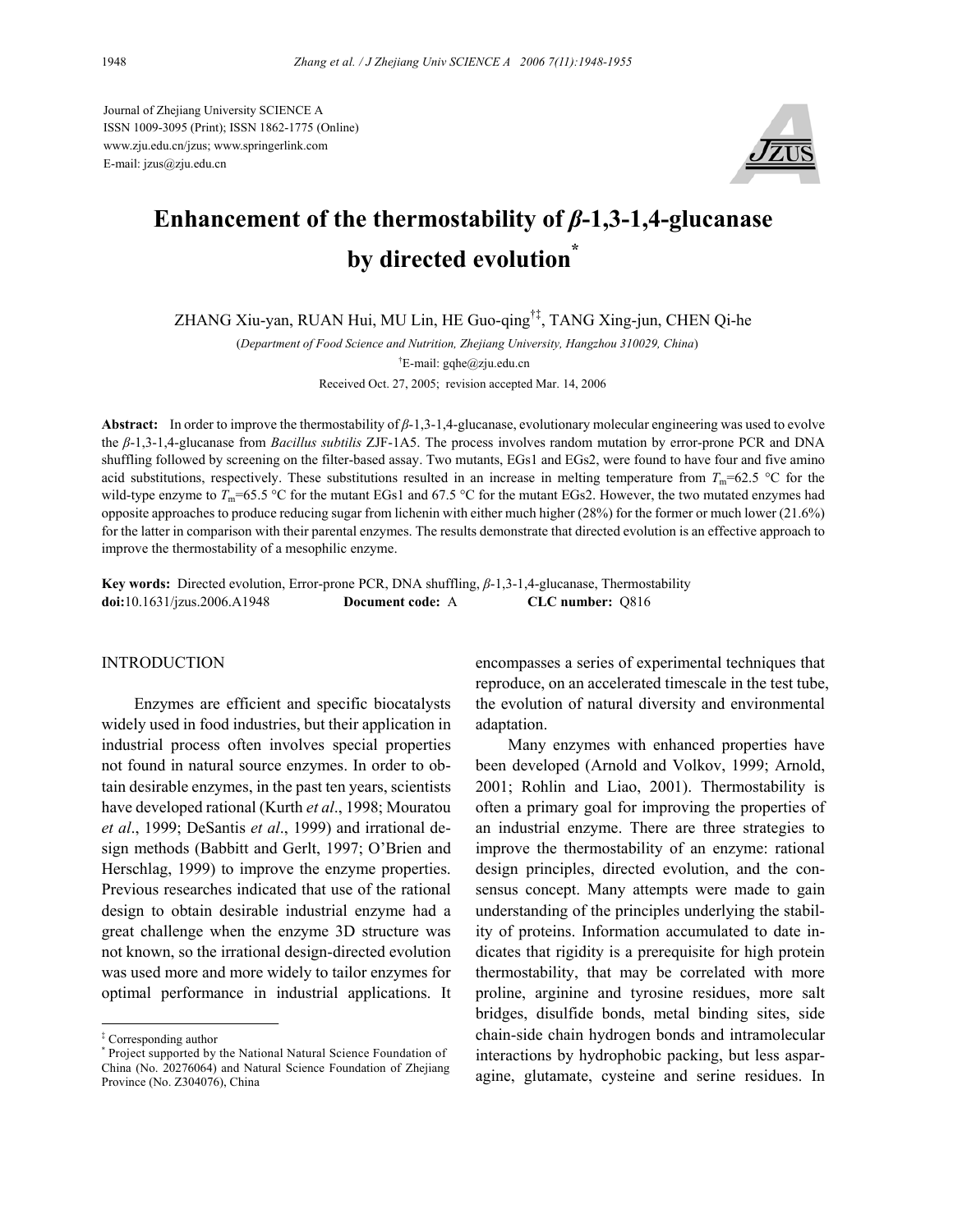Journal of Zhejiang University SCIENCE A ISSN 1009-3095 (Print); ISSN 1862-1775 (Online) www.zju.edu.cn/jzus; www.springerlink.com E-mail: jzus@zju.edu.cn



# **Enhancement of the thermostability of** *β***-1,3-1,4-glucanase by directed evolution\***

ZHANG Xiu-yan, RUAN Hui, MU Lin, HE Guo-qing†‡, TANG Xing-jun, CHEN Qi-he

(*Department of Food Science and Nutrition, Zhejiang University, Hangzhou 310029, China*) <sup>†</sup>E-mail: gqhe@zju.edu.cn Received Oct. 27, 2005; revision accepted Mar. 14, 2006

**Abstract:** In order to improve the thermostability of *β*-1,3-1,4-glucanase, evolutionary molecular engineering was used to evolve the *β*-1,3-1,4-glucanase from *Bacillus subtilis* ZJF-1A5. The process involves random mutation by error-prone PCR and DNA shuffling followed by screening on the filter-based assay. Two mutants, EGs1 and EGs2, were found to have four and five amino acid substitutions, respectively. These substitutions resulted in an increase in melting temperature from  $T_m$ =62.5 °C for the wild-type enzyme to  $T_m$ =65.5 °C for the mutant EGs1 and 67.5 °C for the mutant EGs2. However, the two mutated enzymes had opposite approaches to produce reducing sugar from lichenin with either much higher (28%) for the former or much lower (21.6%) for the latter in comparison with their parental enzymes. The results demonstrate that directed evolution is an effective approach to improve the thermostability of a mesophilic enzyme.

**Key words:** Directed evolution, Error-prone PCR, DNA shuffling, *β*-1,3-1,4-glucanase, Thermostability **doi:**10.1631/jzus.2006.A1948 **Document code:** A **CLC number:** Q816

#### **INTRODUCTION**

Enzymes are efficient and specific biocatalysts widely used in food industries, but their application in industrial process often involves special properties not found in natural source enzymes. In order to obtain desirable enzymes, in the past ten years, scientists have developed rational (Kurth *et al*., 1998; Mouratou *et al*., 1999; DeSantis *et al*., 1999) and irrational design methods (Babbitt and Gerlt, 1997; O'Brien and Herschlag, 1999) to improve the enzyme properties. Previous researches indicated that use of the rational design to obtain desirable industrial enzyme had a great challenge when the enzyme 3D structure was not known, so the irrational design-directed evolution was used more and more widely to tailor enzymes for optimal performance in industrial applications. It

encompasses a series of experimental techniques that reproduce, on an accelerated timescale in the test tube, the evolution of natural diversity and environmental adaptation.

Many enzymes with enhanced properties have been developed (Arnold and Volkov, 1999; Arnold, 2001; Rohlin and Liao, 2001). Thermostability is often a primary goal for improving the properties of an industrial enzyme. There are three strategies to improve the thermostability of an enzyme: rational design principles, directed evolution, and the consensus concept. Many attempts were made to gain understanding of the principles underlying the stability of proteins. Information accumulated to date indicates that rigidity is a prerequisite for high protein thermostability, that may be correlated with more proline, arginine and tyrosine residues, more salt bridges, disulfide bonds, metal binding sites, side chain-side chain hydrogen bonds and intramolecular interactions by hydrophobic packing, but less asparagine, glutamate, cysteine and serine residues. In

<sup>‡</sup> Corresponding author

<sup>\*</sup> Project supported by the National Natural Science Foundation of China (No. 20276064) and Natural Science Foundation of Zhejiang Province (No. Z304076), China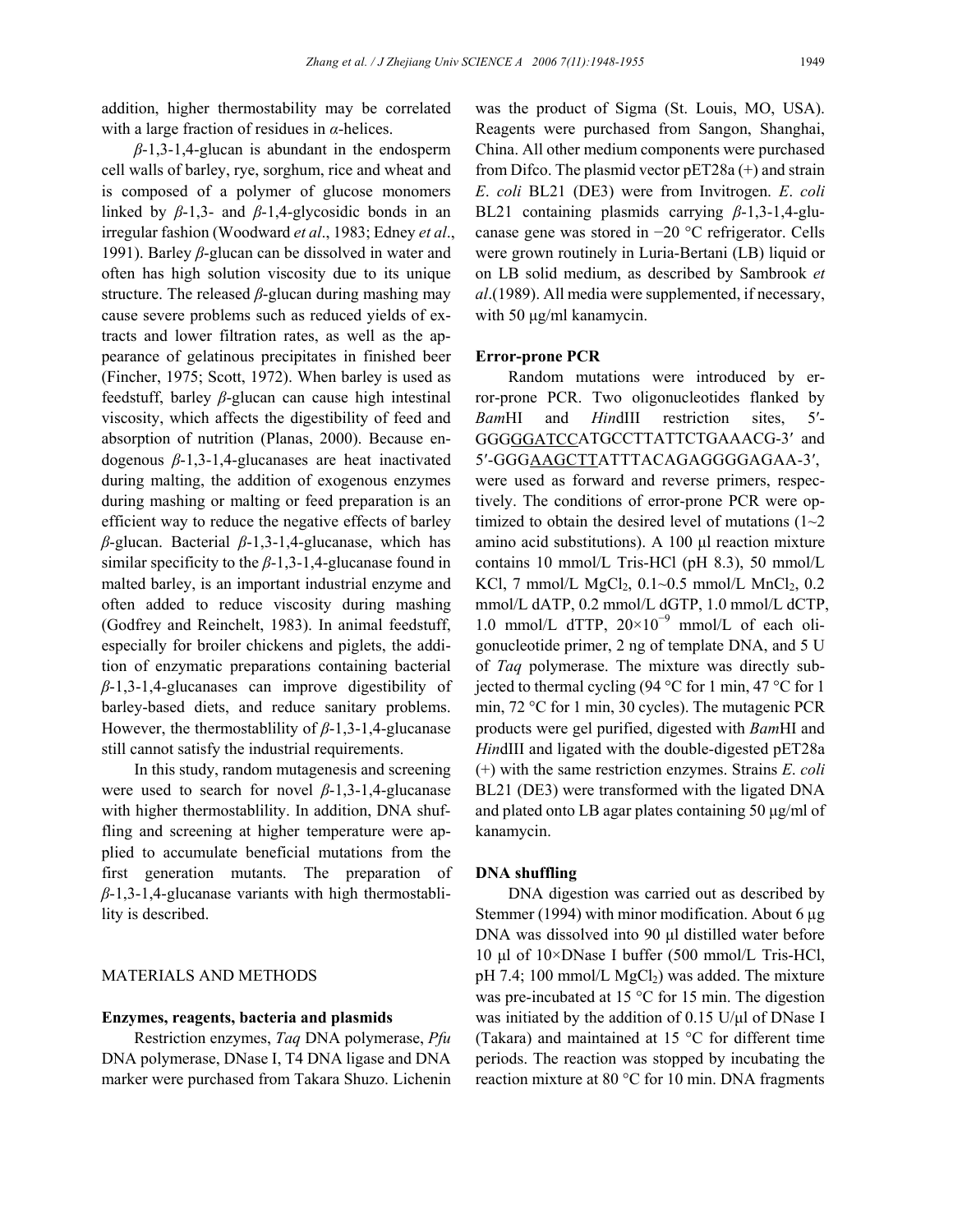addition, higher thermostability may be correlated with a large fraction of residues in *α*-helices.

*β*-1,3-1,4-glucan is abundant in the endosperm cell walls of barley, rye, sorghum, rice and wheat and is composed of a polymer of glucose monomers linked by  $\beta$ -1,3- and  $\beta$ -1,4-glycosidic bonds in an irregular fashion (Woodward *et al*., 1983; Edney *et al*., 1991). Barley *β*-glucan can be dissolved in water and often has high solution viscosity due to its unique structure. The released *β*-glucan during mashing may cause severe problems such as reduced yields of extracts and lower filtration rates, as well as the appearance of gelatinous precipitates in finished beer (Fincher, 1975; Scott, 1972). When barley is used as feedstuff, barley *β*-glucan can cause high intestinal viscosity, which affects the digestibility of feed and absorption of nutrition (Planas, 2000). Because endogenous *β*-1,3-1,4-glucanases are heat inactivated during malting, the addition of exogenous enzymes during mashing or malting or feed preparation is an efficient way to reduce the negative effects of barley *β*-glucan. Bacterial *β*-1,3-1,4-glucanase, which has similar specificity to the *β*-1,3-1,4-glucanase found in malted barley, is an important industrial enzyme and often added to reduce viscosity during mashing (Godfrey and Reinchelt, 1983). In animal feedstuff, especially for broiler chickens and piglets, the addition of enzymatic preparations containing bacterial *β*-1,3-1,4-glucanases can improve digestibility of barley-based diets, and reduce sanitary problems. However, the thermostablility of *β*-1,3-1,4-glucanase still cannot satisfy the industrial requirements.

In this study, random mutagenesis and screening were used to search for novel *β*-1,3-1,4-glucanase with higher thermostablility. In addition, DNA shuffling and screening at higher temperature were applied to accumulate beneficial mutations from the first generation mutants. The preparation of *β*-1,3-1,4-glucanase variants with high thermostablility is described.

## MATERIALS AND METHODS

#### **Enzymes, reagents, bacteria and plasmids**

Restriction enzymes, *Taq* DNA polymerase, *Pfu*  DNA polymerase, DNase I, T4 DNA ligase and DNA marker were purchased from Takara Shuzo. Lichenin was the product of Sigma (St. Louis, MO, USA). Reagents were purchased from Sangon, Shanghai, China. All other medium components were purchased from Difco. The plasmid vector pET28a (+) and strain *E*. *coli* BL21 (DE3) were from Invitrogen. *E*. *coli* BL21 containing plasmids carrying *β*-1,3-1,4-glucanase gene was stored in −20 °C refrigerator. Cells were grown routinely in Luria-Bertani (LB) liquid or on LB solid medium, as described by Sambrook *et al*.(1989). All media were supplemented, if necessary, with 50 μg/ml kanamycin.

#### **Error-prone PCR**

Random mutations were introduced by error-prone PCR. Two oligonucleotides flanked by *Bam*HI and *Hin*dIII restriction sites, 5′- GGGGGATCCATGCCTTATTCTGAAACG-3′ and 5′-GGGAAGCTTATTTACAGAGGGGAGAA-3′, were used as forward and reverse primers, respectively. The conditions of error-prone PCR were optimized to obtain the desired level of mutations  $(1-2)$ amino acid substitutions). A 100 µl reaction mixture contains 10 mmol/L Tris-HCl (pH 8.3), 50 mmol/L KCl, 7 mmol/L  $MgCl_2$ , 0.1~0.5 mmol/L  $MnCl_2$ , 0.2 mmol/L dATP, 0.2 mmol/L dGTP, 1.0 mmol/L dCTP, 1.0 mmol/L dTTP, 20×10<sup>−</sup><sup>9</sup> mmol/L of each oligonucleotide primer, 2 ng of template DNA, and 5 U of *Taq* polymerase. The mixture was directly subjected to thermal cycling (94 °C for 1 min, 47 °C for 1 min, 72 °C for 1 min, 30 cycles). The mutagenic PCR products were gel purified, digested with *Bam*HI and *Hin*dIII and ligated with the double-digested pET28a (+) with the same restriction enzymes. Strains *E*. *coli* BL21 (DE3) were transformed with the ligated DNA and plated onto LB agar plates containing 50 µg/ml of kanamycin.

#### **DNA shuffling**

DNA digestion was carried out as described by Stemmer (1994) with minor modification. About 6 µg DNA was dissolved into 90 µl distilled water before 10 µl of 10×DNase I buffer (500 mmol/L Tris-HCl, pH 7.4; 100 mmol/L  $MgCl<sub>2</sub>$ ) was added. The mixture was pre-incubated at 15 °C for 15 min. The digestion was initiated by the addition of 0.15 U/µl of DNase I (Takara) and maintained at 15 °C for different time periods. The reaction was stopped by incubating the reaction mixture at 80 °C for 10 min. DNA fragments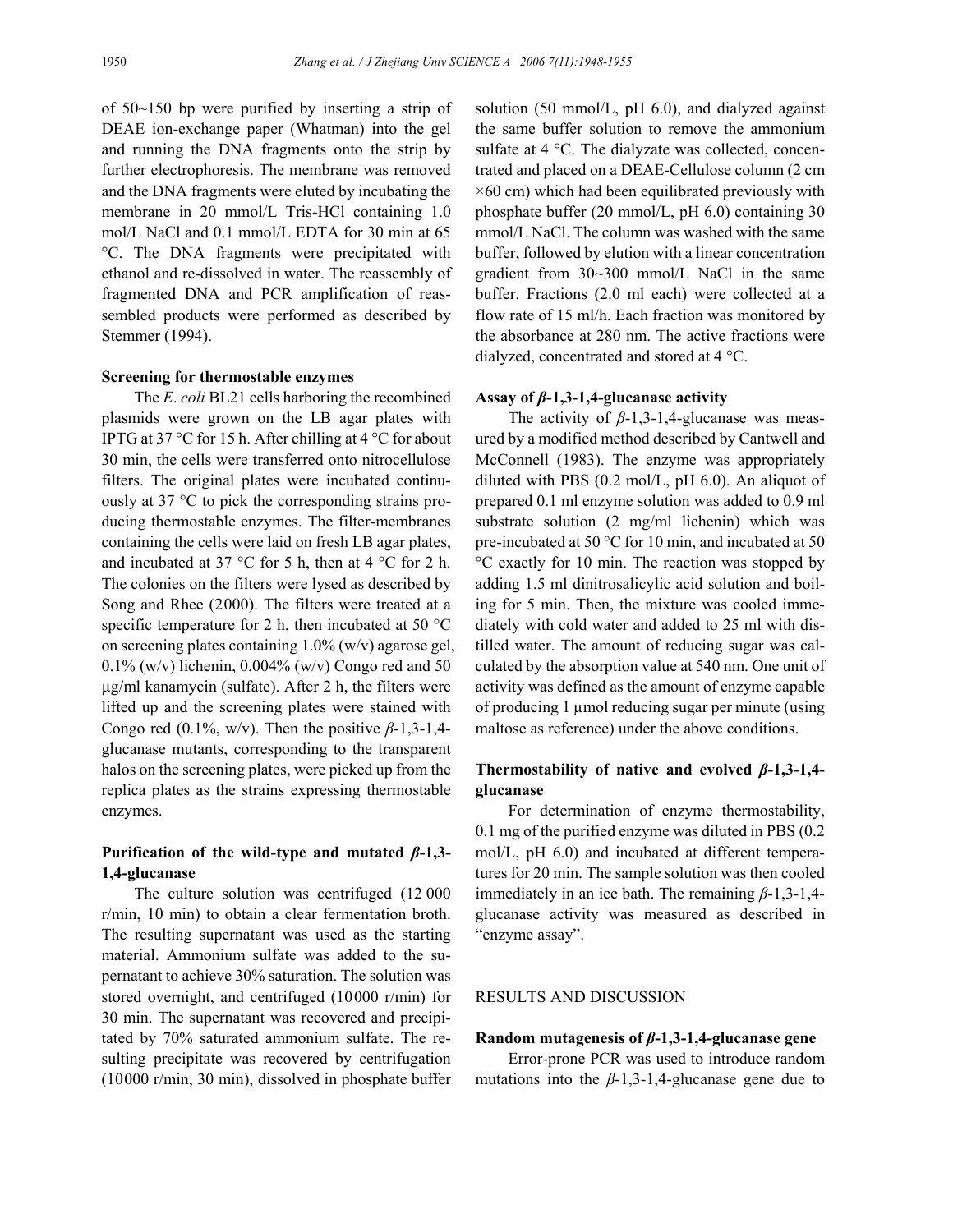of 50~150 bp were purified by inserting a strip of DEAE ion-exchange paper (Whatman) into the gel and running the DNA fragments onto the strip by further electrophoresis. The membrane was removed and the DNA fragments were eluted by incubating the membrane in 20 mmol/L Tris-HCl containing 1.0 mol/L NaCl and 0.1 mmol/L EDTA for 30 min at 65 °C. The DNA fragments were precipitated with ethanol and re-dissolved in water. The reassembly of fragmented DNA and PCR amplification of reassembled products were performed as described by Stemmer (1994).

#### **Screening for thermostable enzymes**

The *E*. *coli* BL21 cells harboring the recombined plasmids were grown on the LB agar plates with IPTG at 37  $\degree$ C for 15 h. After chilling at 4  $\degree$ C for about 30 min, the cells were transferred onto nitrocellulose filters. The original plates were incubated continuously at 37 °C to pick the corresponding strains producing thermostable enzymes. The filter-membranes containing the cells were laid on fresh LB agar plates, and incubated at 37  $\degree$ C for 5 h, then at 4  $\degree$ C for 2 h. The colonies on the filters were lysed as described by Song and Rhee (2000). The filters were treated at a specific temperature for 2 h, then incubated at 50 °C on screening plates containing 1.0% (w/v) agarose gel, 0.1% (w/v) lichenin, 0.004% (w/v) Congo red and 50 µg/ml kanamycin (sulfate). After 2 h, the filters were lifted up and the screening plates were stained with Congo red  $(0.1\%$ , w/v). Then the positive  $\beta$ -1,3-1,4glucanase mutants, corresponding to the transparent halos on the screening plates, were picked up from the replica plates as the strains expressing thermostable enzymes.

## **Purification of the wild-type and mutated** *β***-1,3- 1,4-glucanase**

The culture solution was centrifuged (12 000 r/min, 10 min) to obtain a clear fermentation broth. The resulting supernatant was used as the starting material. Ammonium sulfate was added to the supernatant to achieve 30% saturation. The solution was stored overnight, and centrifuged (10000 r/min) for 30 min. The supernatant was recovered and precipitated by 70% saturated ammonium sulfate. The resulting precipitate was recovered by centrifugation (10000 r/min, 30 min), dissolved in phosphate buffer solution (50 mmol/L, pH 6.0), and dialyzed against the same buffer solution to remove the ammonium sulfate at 4 °C. The dialyzate was collected, concentrated and placed on a DEAE-Cellulose column (2 cm  $\times$ 60 cm) which had been equilibrated previously with phosphate buffer (20 mmol/L, pH 6.0) containing 30 mmol/L NaCl. The column was washed with the same buffer, followed by elution with a linear concentration gradient from 30~300 mmol/L NaCl in the same buffer. Fractions (2.0 ml each) were collected at a flow rate of 15 ml/h. Each fraction was monitored by the absorbance at 280 nm. The active fractions were dialyzed, concentrated and stored at 4 °C.

#### **Assay of** *β***-1,3-1,4-glucanase activity**

The activity of *β*-1,3-1,4-glucanase was measured by a modified method described by Cantwell and McConnell (1983). The enzyme was appropriately diluted with PBS (0.2 mol/L, pH 6.0). An aliquot of prepared 0.1 ml enzyme solution was added to 0.9 ml substrate solution (2 mg/ml lichenin) which was pre-incubated at 50 °C for 10 min, and incubated at 50 °C exactly for 10 min. The reaction was stopped by adding 1.5 ml dinitrosalicylic acid solution and boiling for 5 min. Then, the mixture was cooled immediately with cold water and added to 25 ml with distilled water. The amount of reducing sugar was calculated by the absorption value at 540 nm. One unit of activity was defined as the amount of enzyme capable of producing 1 µmol reducing sugar per minute (using maltose as reference) under the above conditions.

# **Thermostability of native and evolved** *β***-1,3-1,4 glucanase**

For determination of enzyme thermostability, 0.1 mg of the purified enzyme was diluted in PBS (0.2 mol/L, pH 6.0) and incubated at different temperatures for 20 min. The sample solution was then cooled immediately in an ice bath. The remaining *β*-1,3-1,4 glucanase activity was measured as described in "enzyme assay".

# RESULTS AND DISCUSSION

#### **Random mutagenesis of** *β***-1,3-1,4-glucanase gene**

Error-prone PCR was used to introduce random mutations into the  $\beta$ -1,3-1,4-glucanase gene due to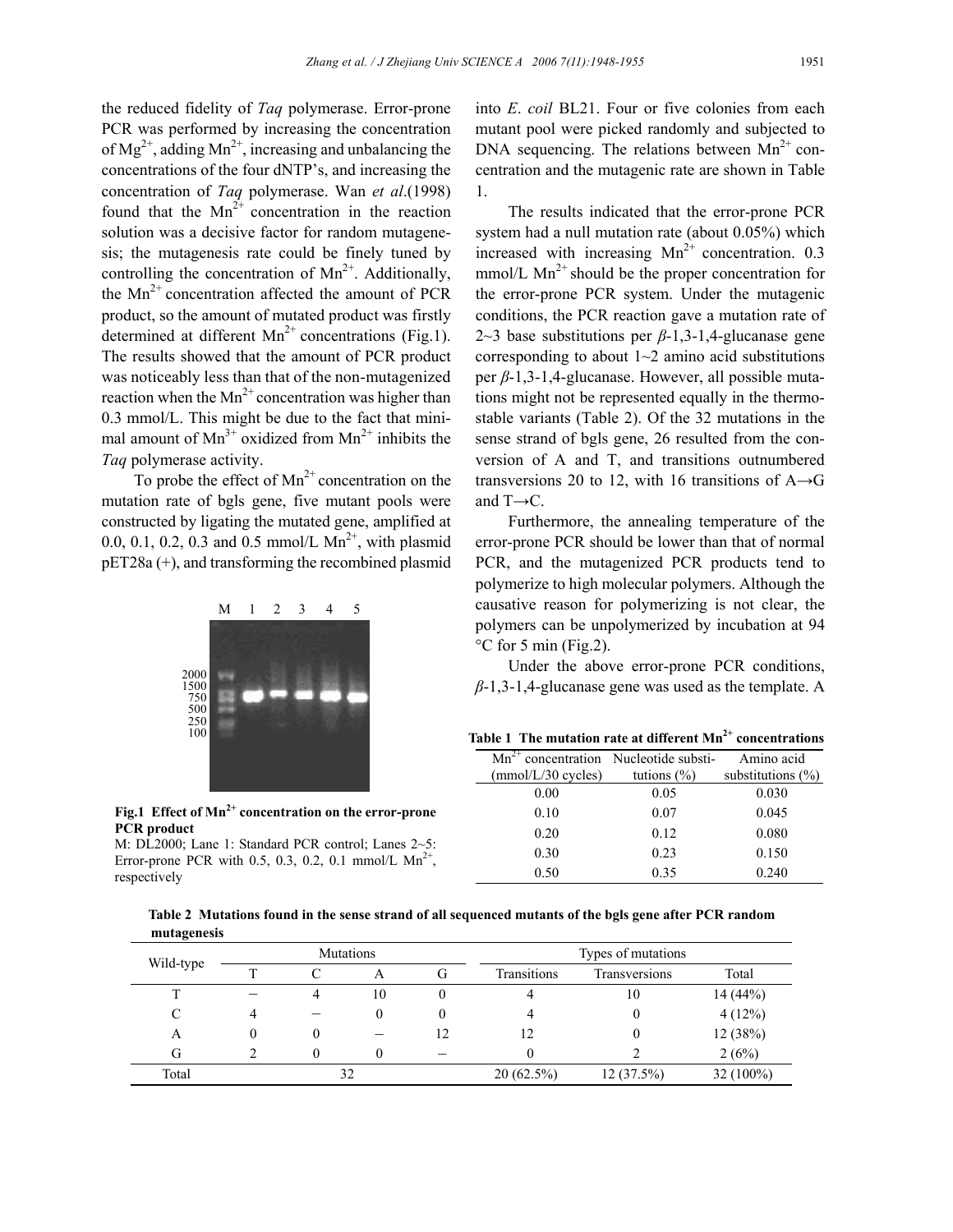the reduced fidelity of *Taq* polymerase. Error-prone PCR was performed by increasing the concentration of  $Mg^{2+}$ , adding  $Mn^{2+}$ , increasing and unbalancing the concentrations of the four dNTP's, and increasing the concentration of *Taq* polymerase. Wan *et al*.(1998) found that the  $Mn^{2+}$  concentration in the reaction solution was a decisive factor for random mutagenesis; the mutagenesis rate could be finely tuned by controlling the concentration of  $Mn^{2+}$ . Additionally, the  $Mn^{2+}$  concentration affected the amount of PCR product, so the amount of mutated product was firstly determined at different  $Mn^{2+}$  concentrations (Fig.1). The results showed that the amount of PCR product was noticeably less than that of the non-mutagenized reaction when the  $Mn^{2+}$  concentration was higher than 0.3 mmol/L. This might be due to the fact that minimal amount of  $Mn^{3+}$  oxidized from  $Mn^{2+}$  inhibits the *Taq* polymerase activity.

To probe the effect of  $Mn^{2+}$  concentration on the mutation rate of bgls gene, five mutant pools were constructed by ligating the mutated gene, amplified at 0.0, 0.1, 0.2, 0.3 and 0.5 mmol/L  $Mn^{2+}$ , with plasmid pET28a (+), and transforming the recombined plasmid



Fig.1 Effect of Mn<sup>2+</sup> concentration on the error-prone **PCR product** 

M: DL2000; Lane 1: Standard PCR control; Lanes 2~5: Error-prone PCR with 0.5, 0.3, 0.2, 0.1 mmol/L  $Mn^{2+}$ , respectively

into *E*. *coil* BL21. Four or five colonies from each mutant pool were picked randomly and subjected to DNA sequencing. The relations between  $Mn^{2+}$  concentration and the mutagenic rate are shown in Table 1.

The results indicated that the error-prone PCR system had a null mutation rate (about 0.05%) which increased with increasing  $Mn^{2+}$  concentration. 0.3 mmol/L  $Mn^{2+}$  should be the proper concentration for the error-prone PCR system. Under the mutagenic conditions, the PCR reaction gave a mutation rate of 2~3 base substitutions per *β*-1,3-1,4-glucanase gene corresponding to about  $1~2$  amino acid substitutions per *β*-1,3-1,4-glucanase. However, all possible mutations might not be represented equally in the thermostable variants (Table 2). Of the 32 mutations in the sense strand of bgls gene, 26 resulted from the conversion of A and T, and transitions outnumbered transversions 20 to 12, with 16 transitions of  $A \rightarrow G$ and  $T\rightarrow C$ .

Furthermore, the annealing temperature of the error-prone PCR should be lower than that of normal PCR, and the mutagenized PCR products tend to polymerize to high molecular polymers. Although the causative reason for polymerizing is not clear, the polymers can be unpolymerized by incubation at 94 °C for 5 min (Fig.2).

Under the above error-prone PCR conditions, *β*-1,3-1,4-glucanase gene was used as the template. A

| Table 1 The mutation rate at different $Mn^{2+}$ concentrations |
|-----------------------------------------------------------------|
|-----------------------------------------------------------------|

| $Mn^{2+}$ concentration Nucleotide substi- |                 | Amino acid            |
|--------------------------------------------|-----------------|-----------------------|
| (mmol/L/30 cycles)                         | tutions $(\% )$ | substitutions $(\% )$ |
| 0.00                                       | 0.05            | 0.030                 |
| 0.10                                       | 0.07            | 0.045                 |
| 0.20                                       | 0.12            | 0.080                 |
| 0.30                                       | 0.23            | 0.150                 |
| 0.50                                       | 0.35            | 0.240                 |
|                                            |                 |                       |

**Table 2 Mutations found in the sense strand of all sequenced mutants of the bgls gene after PCR random mutagenesis**

|           |   |    | <b>Mutations</b> |    |              | Types of mutations |             |
|-----------|---|----|------------------|----|--------------|--------------------|-------------|
| Wild-type |   | ⌒  |                  | G  | Transitions  | Transversions      | Total       |
|           |   |    | 10               |    |              | 10                 | 14(44%)     |
|           |   |    |                  |    |              |                    | 4(12%)      |
| A         | 0 |    |                  | 12 | 12           |                    | 12 (38%)    |
| G         |   |    |                  |    |              |                    | 2(6%)       |
| Total     |   | 32 |                  |    | $20(62.5\%)$ | 12(37.5%)          | $32(100\%)$ |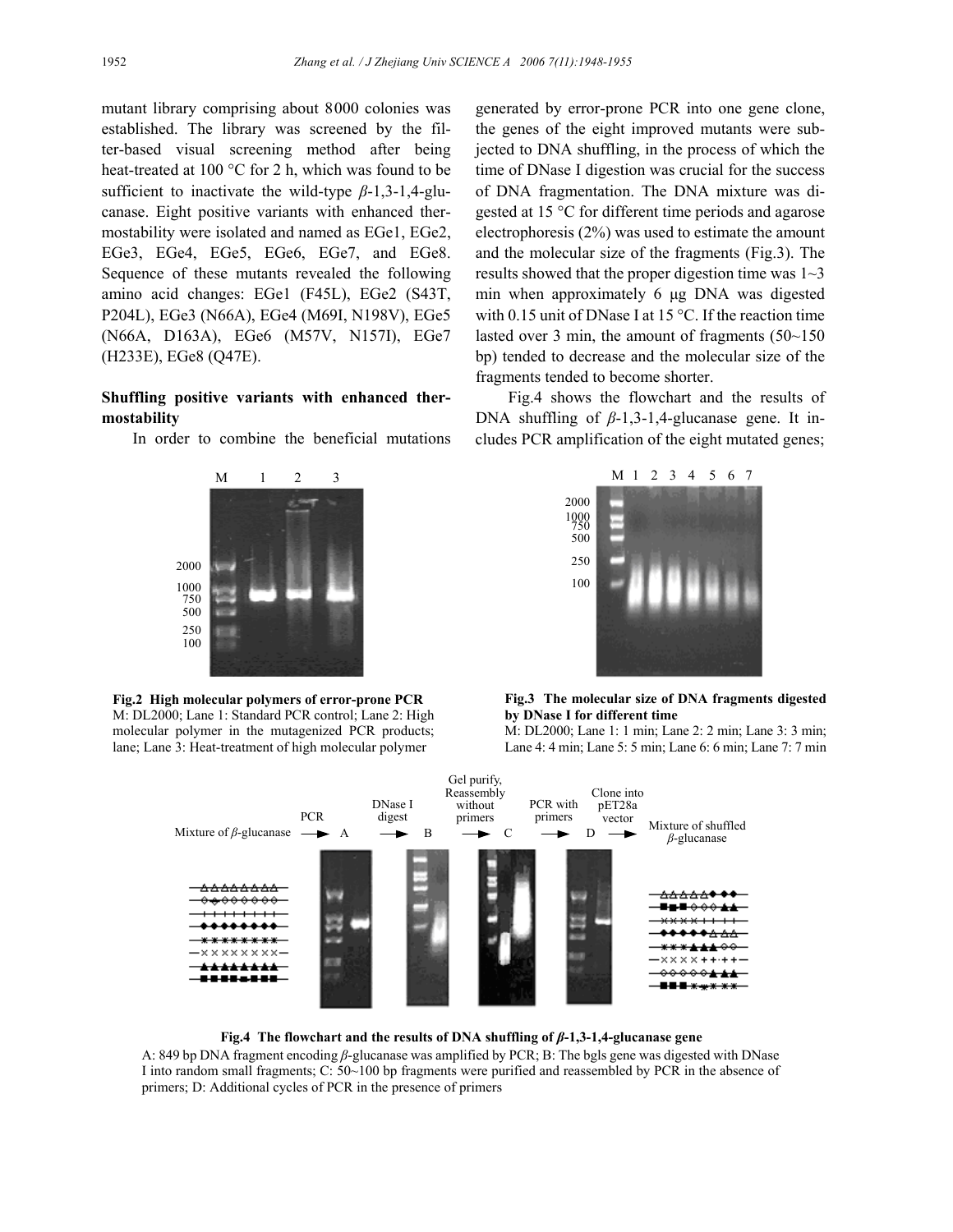mutant library comprising about 8000 colonies was established. The library was screened by the filter-based visual screening method after being heat-treated at 100 °C for 2 h, which was found to be sufficient to inactivate the wild-type *β*-1,3-1,4-glucanase. Eight positive variants with enhanced thermostability were isolated and named as EGe1, EGe2, EGe3, EGe4, EGe5, EGe6, EGe7, and EGe8. Sequence of these mutants revealed the following amino acid changes: EGe1 (F45L), EGe2 (S43T, P204L), EGe3 (N66A), EGe4 (M69I, N198V), EGe5 (N66A, D163A), EGe6 (M57V, N157I), EGe7 (H233E), EGe8 (Q47E).

### **Shuffling positive variants with enhanced thermostability**

In order to combine the beneficial mutations





generated by error-prone PCR into one gene clone, the genes of the eight improved mutants were subjected to DNA shuffling, in the process of which the time of DNase I digestion was crucial for the success of DNA fragmentation. The DNA mixture was digested at 15 °C for different time periods and agarose electrophoresis (2%) was used to estimate the amount and the molecular size of the fragments (Fig.3). The results showed that the proper digestion time was 1~3 min when approximately 6 µg DNA was digested with 0.15 unit of DNase I at 15 °C. If the reaction time lasted over 3 min, the amount of fragments  $(50-150)$ bp) tended to decrease and the molecular size of the fragments tended to become shorter.

Fig.4 shows the flowchart and the results of DNA shuffling of  $β-1,3-1,4$ -glucanase gene. It includes PCR amplification of the eight mutated genes;



**Fig.3 The molecular size of DNA fragments digested by DNase I for different time** 

M: DL2000; Lane 1: 1 min; Lane 2: 2 min; Lane 3: 3 min; Lane 4: 4 min; Lane 5: 5 min; Lane 6: 6 min; Lane 7: 7 min



**Fig.4 The flowchart and the results of DNA shuffling of** *β***-1,3-1,4-glucanase gene** 

A: 849 bp DNA fragment encoding *β*-glucanase was amplified by PCR; B: The bgls gene was digested with DNase I into random small fragments; C: 50~100 bp fragments were purified and reassembled by PCR in the absence of primers; D: Additional cycles of PCR in the presence of primers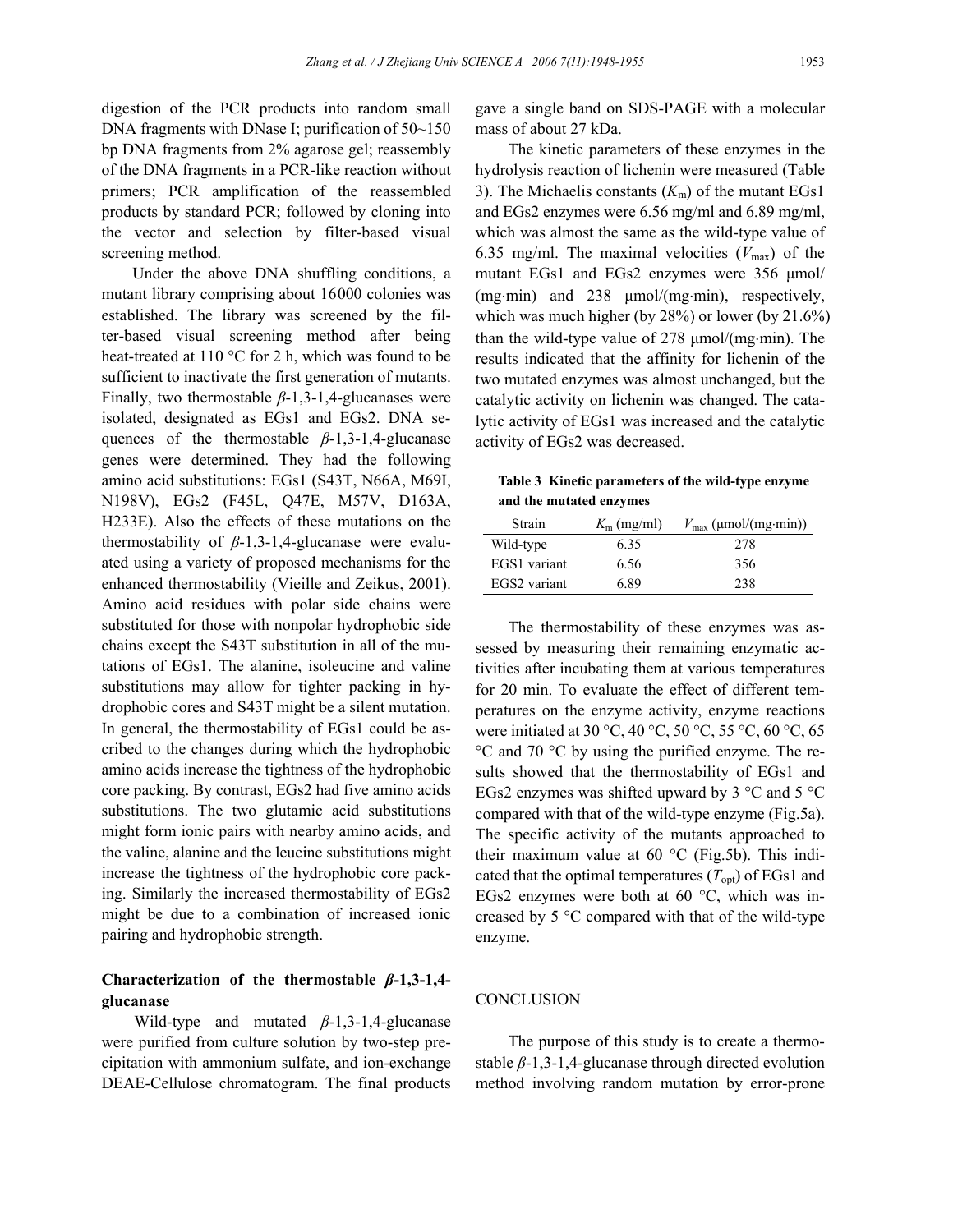digestion of the PCR products into random small DNA fragments with DNase I; purification of 50~150 bp DNA fragments from 2% agarose gel; reassembly of the DNA fragments in a PCR-like reaction without primers; PCR amplification of the reassembled products by standard PCR; followed by cloning into the vector and selection by filter-based visual screening method.

Under the above DNA shuffling conditions, a mutant library comprising about 16000 colonies was established. The library was screened by the filter-based visual screening method after being heat-treated at 110 °C for 2 h, which was found to be sufficient to inactivate the first generation of mutants. Finally, two thermostable *β*-1,3-1,4-glucanases were isolated, designated as EGs1 and EGs2. DNA sequences of the thermostable *β*-1,3-1,4-glucanase genes were determined. They had the following amino acid substitutions: EGs1 (S43T, N66A, M69I, N198V), EGs2 (F45L, Q47E, M57V, D163A, H233E). Also the effects of these mutations on the thermostability of *β*-1,3-1,4-glucanase were evaluated using a variety of proposed mechanisms for the enhanced thermostability (Vieille and Zeikus, 2001). Amino acid residues with polar side chains were substituted for those with nonpolar hydrophobic side chains except the S43T substitution in all of the mutations of EGs1. The alanine, isoleucine and valine substitutions may allow for tighter packing in hydrophobic cores and S43T might be a silent mutation. In general, the thermostability of EGs1 could be ascribed to the changes during which the hydrophobic amino acids increase the tightness of the hydrophobic core packing. By contrast, EGs2 had five amino acids substitutions. The two glutamic acid substitutions might form ionic pairs with nearby amino acids, and the valine, alanine and the leucine substitutions might increase the tightness of the hydrophobic core packing. Similarly the increased thermostability of EGs2 might be due to a combination of increased ionic pairing and hydrophobic strength.

## **Characterization of the thermostable** *β***-1,3-1,4 glucanase**

Wild-type and mutated *β*-1,3-1,4-glucanase were purified from culture solution by two-step precipitation with ammonium sulfate, and ion-exchange DEAE-Cellulose chromatogram. The final products

gave a single band on SDS-PAGE with a molecular mass of about 27 kDa.

The kinetic parameters of these enzymes in the hydrolysis reaction of lichenin were measured (Table 3). The Michaelis constants  $(K<sub>m</sub>)$  of the mutant EGs1 and EGs2 enzymes were 6.56 mg/ml and 6.89 mg/ml, which was almost the same as the wild-type value of 6.35 mg/ml. The maximal velocities  $(V_{\text{max}})$  of the mutant EGs1 and EGs2 enzymes were 356  $\mu$ mol/ (mg⋅min) and 238 µmol/(mg⋅min), respectively, which was much higher (by 28%) or lower (by 21.6%) than the wild-type value of 278 µmol/(mg⋅min). The results indicated that the affinity for lichenin of the two mutated enzymes was almost unchanged, but the catalytic activity on lichenin was changed. The catalytic activity of EGs1 was increased and the catalytic activity of EGs2 was decreased.

**Table 3 Kinetic parameters of the wild-type enzyme and the mutated enzymes** 

| Strain       | $K_{\rm m}$ (mg/ml) | $V_{\text{max}}$ (µmol/(mg·min)) |
|--------------|---------------------|----------------------------------|
| Wild-type    | 6.35                | 278                              |
| EGS1 variant | 6.56                | 356                              |
| EGS2 variant | 689                 | 238                              |

The thermostability of these enzymes was assessed by measuring their remaining enzymatic activities after incubating them at various temperatures for 20 min. To evaluate the effect of different temperatures on the enzyme activity, enzyme reactions were initiated at 30 °C, 40 °C, 50 °C, 55 °C, 60 °C, 65 °C and 70 °C by using the purified enzyme. The results showed that the thermostability of EGs1 and EGs2 enzymes was shifted upward by 3  $\degree$ C and 5  $\degree$ C compared with that of the wild-type enzyme (Fig.5a). The specific activity of the mutants approached to their maximum value at 60  $^{\circ}$ C (Fig.5b). This indicated that the optimal temperatures  $(T_{\text{out}})$  of EGs1 and EGs2 enzymes were both at 60 °C, which was increased by 5 °C compared with that of the wild-type enzyme.

#### **CONCLUSION**

The purpose of this study is to create a thermostable *β*-1,3-1,4-glucanase through directed evolution method involving random mutation by error-prone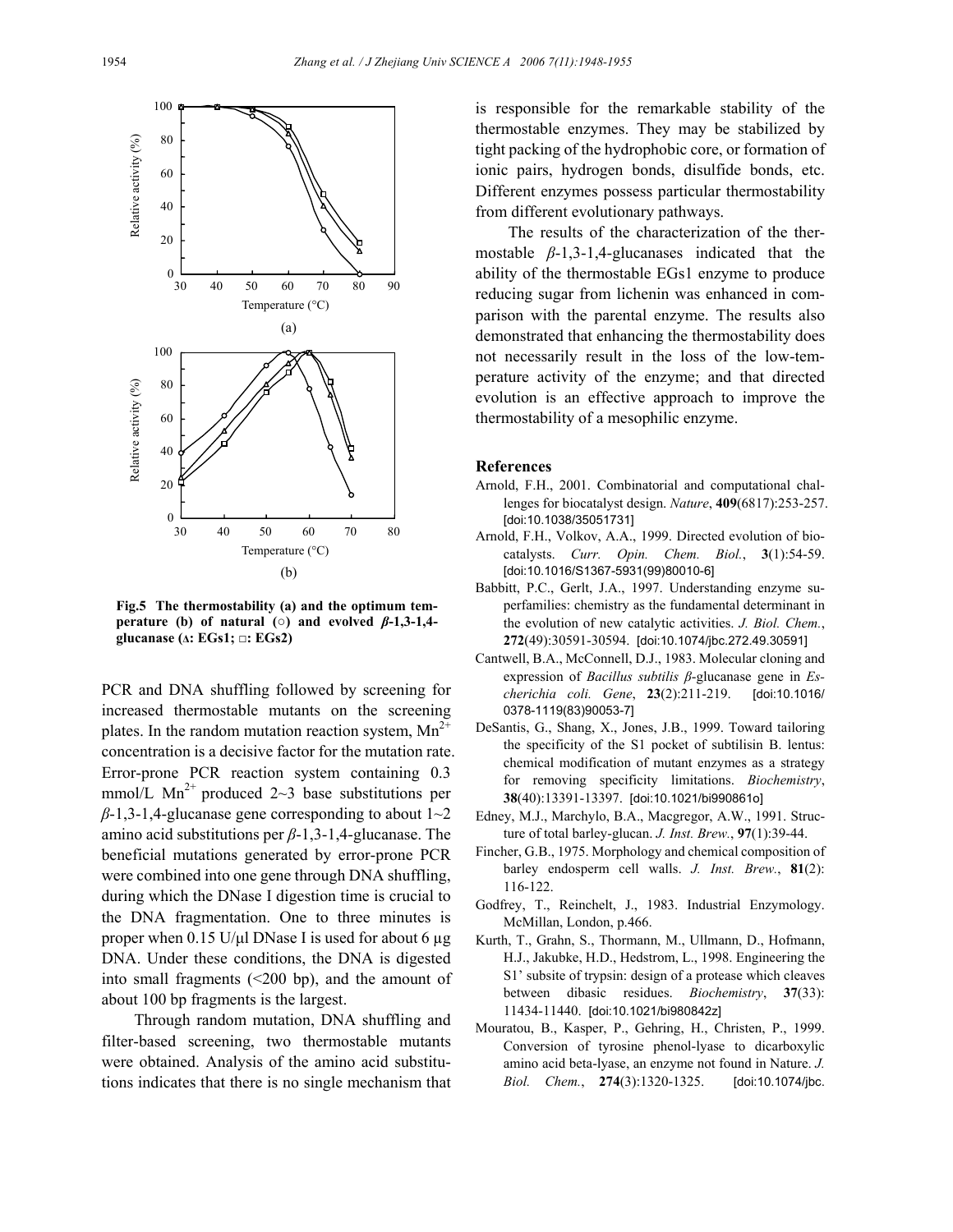

**Fig.5 The thermostability (a) and the optimum temperature (b) of natural (** $\circ$ **) and evolved**  $\beta$ **-1,3-1,4glucanase (∆: EGs1; □: EGs2)** 

PCR and DNA shuffling followed by screening for increased thermostable mutants on the screening plates. In the random mutation reaction system,  $Mn^{2+}$ concentration is a decisive factor for the mutation rate. Error-prone PCR reaction system containing 0.3 mmol/L Mn<sup>2+</sup> produced 2~3 base substitutions per  $\beta$ -1,3-1,4-glucanase gene corresponding to about  $1 \sim 2$ amino acid substitutions per *β*-1,3-1,4-glucanase. The beneficial mutations generated by error-prone PCR were combined into one gene through DNA shuffling, during which the DNase I digestion time is crucial to the DNA fragmentation. One to three minutes is proper when  $0.15$  U/µl DNase I is used for about 6 µg DNA. Under these conditions, the DNA is digested into small fragments  $( $200$  bp), and the amount of$ about 100 bp fragments is the largest.

Through random mutation, DNA shuffling and filter-based screening, two thermostable mutants were obtained. Analysis of the amino acid substitutions indicates that there is no single mechanism that is responsible for the remarkable stability of the thermostable enzymes. They may be stabilized by tight packing of the hydrophobic core, or formation of ionic pairs, hydrogen bonds, disulfide bonds, etc. Different enzymes possess particular thermostability from different evolutionary pathways.

The results of the characterization of the thermostable *β*-1,3-1,4-glucanases indicated that the ability of the thermostable EGs1 enzyme to produce reducing sugar from lichenin was enhanced in comparison with the parental enzyme. The results also demonstrated that enhancing the thermostability does not necessarily result in the loss of the low-temperature activity of the enzyme; and that directed evolution is an effective approach to improve the thermostability of a mesophilic enzyme.

#### **References**

- Arnold, F.H., 2001. Combinatorial and computational challenges for biocatalyst design. *Nature*, **409**(6817):253-257. [doi:10.1038/35051731]
- Arnold, F.H., Volkov, A.A., 1999. Directed evolution of biocatalysts. *Curr. Opin. Chem. Biol.*, **3**(1):54-59. [doi:10.1016/S1367-5931(99)80010-6]
- Babbitt, P.C., Gerlt, J.A., 1997. Understanding enzyme superfamilies: chemistry as the fundamental determinant in the evolution of new catalytic activities. *J. Biol. Chem.*, **272**(49):30591-30594. [doi:10.1074/jbc.272.49.30591]
- Cantwell, B.A., McConnell, D.J., 1983. Molecular cloning and expression of *Bacillus subtilis β*-glucanase gene in *Escherichia coli. Gene*, **23**(2):211-219. [doi:10.1016/ 0378-1119(83)90053-7]
- DeSantis, G., Shang, X., Jones, J.B., 1999. Toward tailoring the specificity of the S1 pocket of subtilisin B. lentus: chemical modification of mutant enzymes as a strategy for removing specificity limitations. *Biochemistry*, **38**(40):13391-13397. [doi:10.1021/bi990861o]
- Edney, M.J., Marchylo, B.A., Macgregor, A.W., 1991. Structure of total barley-glucan. *J. Inst. Brew.*, **97**(1):39-44.
- Fincher, G.B., 1975. Morphology and chemical composition of barley endosperm cell walls. *J. Inst. Brew.*, **81**(2): 116-122.
- Godfrey, T., Reinchelt, J., 1983. Industrial Enzymology. McMillan, London, p.466.
- Kurth, T., Grahn, S., Thormann, M., Ullmann, D., Hofmann, H.J., Jakubke, H.D., Hedstrom, L., 1998. Engineering the S1' subsite of trypsin: design of a protease which cleaves between dibasic residues. *Biochemistry*, **37**(33): 11434-11440. [doi:10.1021/bi980842z]
- Mouratou, B., Kasper, P., Gehring, H., Christen, P., 1999. Conversion of tyrosine phenol-lyase to dicarboxylic amino acid beta-lyase, an enzyme not found in Nature. *J. Biol. Chem.*, **274**(3):1320-1325. [doi:10.1074/jbc.